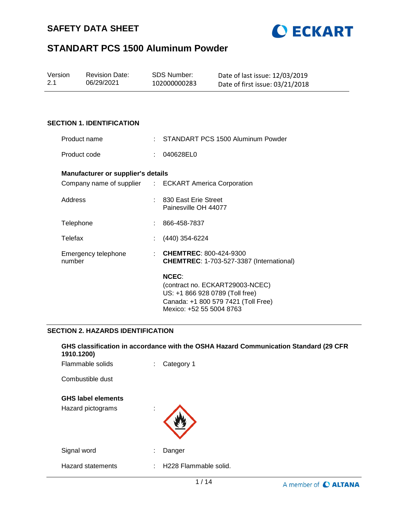



| Version | <b>Revision Date:</b> | SDS Number:  | Date of last issue: 12/03/2019  |
|---------|-----------------------|--------------|---------------------------------|
| 2.1     | 06/29/2021            | 102000000283 | Date of first issue: 03/21/2018 |

### **SECTION 1. IDENTIFICATION**

| Product name                              |    | STANDART PCS 1500 Aluminum Powder                                                                                         |
|-------------------------------------------|----|---------------------------------------------------------------------------------------------------------------------------|
| Product code                              |    | 040628EL0                                                                                                                 |
| <b>Manufacturer or supplier's details</b> |    |                                                                                                                           |
|                                           |    | Company name of supplier : ECKART America Corporation                                                                     |
| Address                                   |    | : 830 East Erie Street<br>Painesville OH 44077                                                                            |
| Telephone                                 | ÷. | 866-458-7837                                                                                                              |
| Telefax                                   |    | (440) 354-6224                                                                                                            |
| Emergency telephone<br>number             |    | $\therefore$ CHEMTREC: 800-424-9300<br><b>CHEMTREC: 1-703-527-3387 (International)</b>                                    |
|                                           |    | <b>NCEC:</b><br>(contract no. ECKART29003-NCEC)<br>US: +1 866 928 0789 (Toll free)<br>Canada: +1 800 579 7421 (Toll Free) |

#### **SECTION 2. HAZARDS IDENTIFICATION**

| 1910.1200)                |   | GHS classification in accordance with the OSHA Hazard Communication Standard (29 CFR |
|---------------------------|---|--------------------------------------------------------------------------------------|
| Flammable solids          |   | Category 1                                                                           |
| Combustible dust          |   |                                                                                      |
| <b>GHS label elements</b> |   |                                                                                      |
| Hazard pictograms         |   |                                                                                      |
| Signal word               | ÷ | Danger                                                                               |
| <b>Hazard statements</b>  |   | : H228 Flammable solid.                                                              |
|                           |   | $\begin{array}{c c c c c c} \hline \end{array}$                                      |

Mexico: +52 55 5004 8763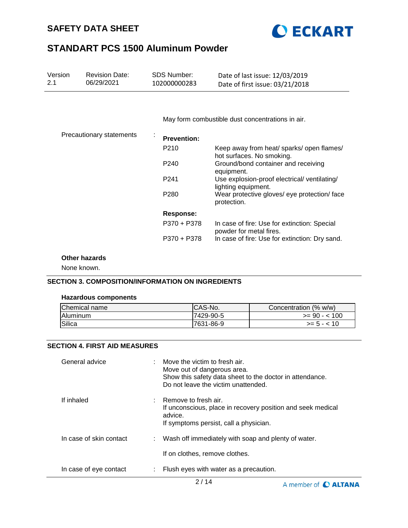



| Version<br>2.1 | <b>Revision Date:</b><br>06/29/2021 | <b>SDS Number:</b><br>102000000283 | Date of last issue: 12/03/2019<br>Date of first issue: 03/21/2018       |
|----------------|-------------------------------------|------------------------------------|-------------------------------------------------------------------------|
|                |                                     |                                    |                                                                         |
|                |                                     |                                    | May form combustible dust concentrations in air.                        |
|                | Precautionary statements            | <b>Prevention:</b>                 |                                                                         |
|                |                                     | P <sub>210</sub>                   | Keep away from heat/ sparks/ open flames/<br>hot surfaces. No smoking.  |
|                |                                     | P <sub>240</sub>                   | Ground/bond container and receiving<br>equipment.                       |
|                |                                     | P241                               | Use explosion-proof electrical/ventilating/<br>lighting equipment.      |
|                |                                     | P <sub>280</sub>                   | Wear protective gloves/ eye protection/ face<br>protection.             |
|                |                                     | <b>Response:</b>                   |                                                                         |
|                |                                     | P370 + P378                        | In case of fire: Use for extinction: Special<br>powder for metal fires. |
|                |                                     | P370 + P378                        | In case of fire: Use for extinction: Dry sand.                          |

# **Other hazards**

None known.

## **SECTION 3. COMPOSITION/INFORMATION ON INGREDIENTS**

#### **Hazardous components**

| Chemical name   | <b>ICAS-No.</b> | Concentration (% w/w) |
|-----------------|-----------------|-----------------------|
| <b>Aluminum</b> | 7429-90-5       | $>= 90 - 100$         |
| Silica          | 7631-86-9       | $>= 5 - < 10$         |

## **SECTION 4. FIRST AID MEASURES**

| General advice          |    | $\therefore$ Move the victim to fresh air.<br>Move out of dangerous area.<br>Show this safety data sheet to the doctor in attendance.<br>Do not leave the victim unattended. |
|-------------------------|----|------------------------------------------------------------------------------------------------------------------------------------------------------------------------------|
| If inhaled              |    | Remove to fresh air.<br>If unconscious, place in recovery position and seek medical<br>advice.<br>If symptoms persist, call a physician.                                     |
| In case of skin contact |    | : Wash off immediately with soap and plenty of water.                                                                                                                        |
|                         |    | If on clothes, remove clothes.                                                                                                                                               |
| In case of eye contact  | ÷. | Flush eyes with water as a precaution.                                                                                                                                       |

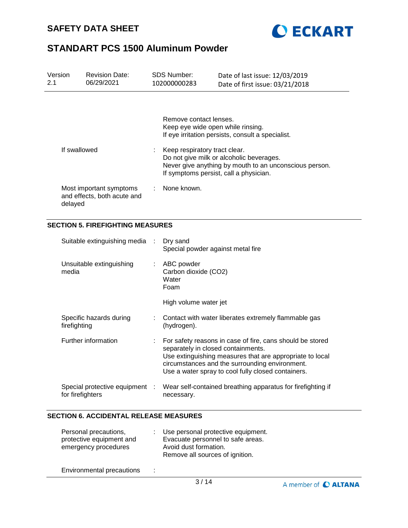



| Version<br>2.1 |                  | <b>Revision Date:</b><br>06/29/2021                    |                      | <b>SDS Number:</b><br>102000000283                                                                                                                                            | Date of last issue: 12/03/2019<br>Date of first issue: 03/21/2018                                                                                                                                                             |  |
|----------------|------------------|--------------------------------------------------------|----------------------|-------------------------------------------------------------------------------------------------------------------------------------------------------------------------------|-------------------------------------------------------------------------------------------------------------------------------------------------------------------------------------------------------------------------------|--|
|                |                  |                                                        |                      | Remove contact lenses.<br>Keep eye wide open while rinsing.                                                                                                                   | If eye irritation persists, consult a specialist.                                                                                                                                                                             |  |
|                | If swallowed     |                                                        |                      | Keep respiratory tract clear.<br>Do not give milk or alcoholic beverages.<br>Never give anything by mouth to an unconscious person.<br>If symptoms persist, call a physician. |                                                                                                                                                                                                                               |  |
|                | delayed          | Most important symptoms<br>and effects, both acute and |                      | None known.                                                                                                                                                                   |                                                                                                                                                                                                                               |  |
|                |                  | <b>SECTION 5. FIREFIGHTING MEASURES</b>                |                      |                                                                                                                                                                               |                                                                                                                                                                                                                               |  |
|                |                  | Suitable extinguishing media                           | ÷                    | Dry sand<br>Special powder against metal fire                                                                                                                                 |                                                                                                                                                                                                                               |  |
|                | media            | Unsuitable extinguishing                               |                      | ABC powder<br>Carbon dioxide (CO2)<br>Water<br>Foam                                                                                                                           |                                                                                                                                                                                                                               |  |
|                |                  |                                                        |                      | High volume water jet                                                                                                                                                         |                                                                                                                                                                                                                               |  |
|                | firefighting     | Specific hazards during                                |                      | (hydrogen).                                                                                                                                                                   | Contact with water liberates extremely flammable gas                                                                                                                                                                          |  |
|                |                  | Further information                                    |                      | separately in closed containments.                                                                                                                                            | For safety reasons in case of fire, cans should be stored<br>Use extinguishing measures that are appropriate to local<br>circumstances and the surrounding environment.<br>Use a water spray to cool fully closed containers. |  |
|                | for firefighters | Special protective equipment                           | $\ddot{\phantom{a}}$ | necessary.                                                                                                                                                                    | Wear self-contained breathing apparatus for firefighting if                                                                                                                                                                   |  |

# **SECTION 6. ACCIDENTAL RELEASE MEASURES**

| Personal precautions,<br>protective equipment and<br>emergency procedures |   | Use personal protective equipment.<br>Evacuate personnel to safe areas.<br>Avoid dust formation.<br>Remove all sources of ignition. |
|---------------------------------------------------------------------------|---|-------------------------------------------------------------------------------------------------------------------------------------|
| Environmental precautions                                                 | ÷ |                                                                                                                                     |

 $3/14$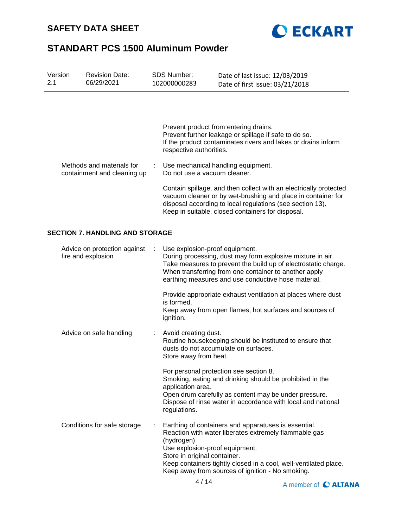



| Version<br>2.1              | <b>Revision Date:</b><br>06/29/2021                      | <b>SDS Number:</b><br>102000000283                                                                                                                                                                                                                  | Date of last issue: 12/03/2019<br>Date of first issue: 03/21/2018                                                                                                                                                                            |  |  |  |
|-----------------------------|----------------------------------------------------------|-----------------------------------------------------------------------------------------------------------------------------------------------------------------------------------------------------------------------------------------------------|----------------------------------------------------------------------------------------------------------------------------------------------------------------------------------------------------------------------------------------------|--|--|--|
|                             |                                                          | respective authorities.                                                                                                                                                                                                                             | Prevent product from entering drains.<br>Prevent further leakage or spillage if safe to do so.<br>If the product contaminates rivers and lakes or drains inform                                                                              |  |  |  |
|                             | Methods and materials for<br>containment and cleaning up | Do not use a vacuum cleaner.                                                                                                                                                                                                                        | Use mechanical handling equipment.                                                                                                                                                                                                           |  |  |  |
|                             |                                                          | Contain spillage, and then collect with an electrically protected<br>vacuum cleaner or by wet-brushing and place in container for<br>disposal according to local regulations (see section 13).<br>Keep in suitable, closed containers for disposal. |                                                                                                                                                                                                                                              |  |  |  |
|                             | <b>SECTION 7. HANDLING AND STORAGE</b>                   |                                                                                                                                                                                                                                                     |                                                                                                                                                                                                                                              |  |  |  |
|                             | Advice on protection against<br>fire and explosion       | Use explosion-proof equipment.                                                                                                                                                                                                                      | During processing, dust may form explosive mixture in air.<br>Take measures to prevent the build up of electrostatic charge.<br>When transferring from one container to another apply<br>earthing measures and use conductive hose material. |  |  |  |
|                             |                                                          | is formed.<br>ignition.                                                                                                                                                                                                                             | Provide appropriate exhaust ventilation at places where dust<br>Keep away from open flames, hot surfaces and sources of                                                                                                                      |  |  |  |
|                             | Advice on safe handling                                  | Avoid creating dust.<br>Store away from heat.                                                                                                                                                                                                       | Routine housekeeping should be instituted to ensure that<br>dusts do not accumulate on surfaces.                                                                                                                                             |  |  |  |
|                             |                                                          | application area.<br>regulations.                                                                                                                                                                                                                   | For personal protection see section 8.<br>Smoking, eating and drinking should be prohibited in the<br>Open drum carefully as content may be under pressure.<br>Dispose of rinse water in accordance with local and national                  |  |  |  |
| Conditions for safe storage |                                                          | (hydrogen)<br>Use explosion-proof equipment.<br>Store in original container.                                                                                                                                                                        | Earthing of containers and apparatuses is essential.<br>Reaction with water liberates extremely flammable gas<br>Keep containers tightly closed in a cool, well-ventilated place.<br>Keep away from sources of ignition - No smoking.        |  |  |  |

A member of C ALTANA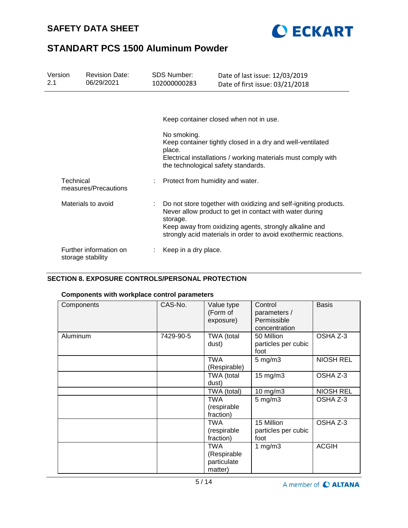



| Version<br>2.1 | <b>Revision Date:</b><br>06/29/2021         | SDS Number:<br>102000000283 | Date of last issue: 12/03/2019<br>Date of first issue: 03/21/2018                                                                                                                                                                                        |
|----------------|---------------------------------------------|-----------------------------|----------------------------------------------------------------------------------------------------------------------------------------------------------------------------------------------------------------------------------------------------------|
|                |                                             |                             |                                                                                                                                                                                                                                                          |
|                |                                             |                             | Keep container closed when not in use.                                                                                                                                                                                                                   |
|                |                                             | No smoking.<br>place.       | Keep container tightly closed in a dry and well-ventilated<br>Electrical installations / working materials must comply with<br>the technological safety standards.                                                                                       |
|                | Technical<br>measures/Precautions           |                             | Protect from humidity and water.                                                                                                                                                                                                                         |
|                | Materials to avoid                          | ÷<br>storage.               | Do not store together with oxidizing and self-igniting products.<br>Never allow product to get in contact with water during<br>Keep away from oxidizing agents, strongly alkaline and<br>strongly acid materials in order to avoid exothermic reactions. |
|                | Further information on<br>storage stability | Keep in a dry place.        |                                                                                                                                                                                                                                                          |

# **SECTION 8. EXPOSURE CONTROLS/PERSONAL PROTECTION**

# **Components with workplace control parameters**

| Components | CAS-No.   | Value type<br>(Form of<br>exposure)          | Control<br>parameters /<br>Permissible<br>concentration | <b>Basis</b>     |
|------------|-----------|----------------------------------------------|---------------------------------------------------------|------------------|
| Aluminum   | 7429-90-5 | TWA (total<br>dust)                          | 50 Million<br>particles per cubic<br>foot               | OSHA Z-3         |
|            |           | <b>TWA</b><br>(Respirable)                   | $5 \text{ mg/m}$ 3                                      | <b>NIOSH REL</b> |
|            |           | TWA (total<br>dust)                          | 15 mg/m3                                                | OSHA Z-3         |
|            |           | TWA (total)                                  | 10 mg/m3                                                | <b>NIOSH REL</b> |
|            |           | TWA<br>(respirable<br>fraction)              | $5$ mg/m $3$                                            | OSHA Z-3         |
|            |           | TWA<br>(respirable<br>fraction)              | 15 Million<br>particles per cubic<br>foot               | OSHA Z-3         |
|            |           | TWA<br>(Respirable<br>particulate<br>matter) | 1 mg/m $3$                                              | <b>ACGIH</b>     |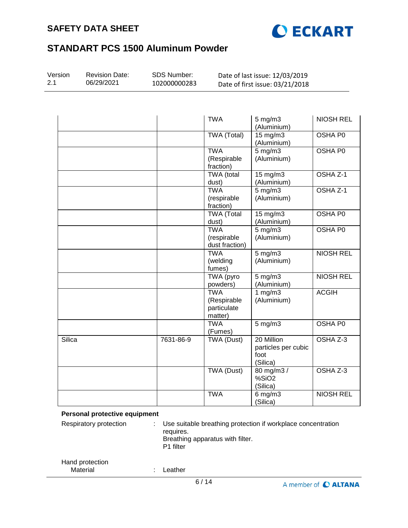



| Version<br>2.1 | <b>Revision Date:</b><br>06/29/2021 | SDS Number:<br>102000000283 | Date of last issue: 12/03/2019<br>Date of first issue: 03/21/2018 |                                                       |                  |  |
|----------------|-------------------------------------|-----------------------------|-------------------------------------------------------------------|-------------------------------------------------------|------------------|--|
|                |                                     |                             |                                                                   |                                                       |                  |  |
|                |                                     |                             | <b>TWA</b>                                                        | $5$ mg/m $3$<br>(Aluminium)                           | <b>NIOSH REL</b> |  |
|                |                                     |                             | <b>TWA (Total)</b>                                                | $15 \text{ mg/m}$<br>(Aluminium)                      | <b>OSHA P0</b>   |  |
|                |                                     |                             | <b>TWA</b><br>(Respirable<br>fraction)                            | $5 \,\mathrm{mg/m}$<br>(Aluminium)                    | <b>OSHA P0</b>   |  |
|                |                                     |                             | <b>TWA</b> (total<br>dust)                                        | 15 mg/m3<br>(Aluminium)                               | OSHA Z-1         |  |
|                |                                     |                             | <b>TWA</b><br>(respirable<br>fraction)                            | $5 \text{ mg/m}$ 3<br>(Aluminium)                     | OSHA Z-1         |  |
|                |                                     |                             | <b>TWA</b> (Total<br>dust)                                        | 15 mg/m3<br>(Aluminium)                               | OSHA P0          |  |
|                |                                     |                             | <b>TWA</b><br>(respirable<br>dust fraction)                       | $5 \text{ mg/m}$<br>(Aluminium)                       | <b>OSHA P0</b>   |  |
|                |                                     |                             | <b>TWA</b><br>(welding<br>fumes)                                  | $5 \,\mathrm{mg/m}$<br>(Aluminium)                    | <b>NIOSH REL</b> |  |
|                |                                     |                             | <b>TWA</b> (pyro<br>powders)                                      | $5$ mg/m $3$<br>(Aluminium)                           | <b>NIOSH REL</b> |  |
|                |                                     |                             | <b>TWA</b><br>(Respirable<br>particulate<br>matter)               | 1 $mg/m3$<br>(Aluminium)                              | <b>ACGIH</b>     |  |
|                |                                     |                             | <b>TWA</b><br>(Fumes)                                             | $5 \text{ mg/m}$                                      | <b>OSHA P0</b>   |  |
| Silica         |                                     | 7631-86-9                   | <b>TWA (Dust)</b>                                                 | 20 Million<br>particles per cubic<br>foot<br>(Silica) | OSHA Z-3         |  |
|                |                                     |                             | TWA (Dust)                                                        | 80 mg/m3 /<br>%SiO <sub>2</sub><br>(Silica)           | OSHA Z-3         |  |
|                |                                     |                             | <b>TWA</b>                                                        | $6$ mg/m $3$<br>(Silica)                              | <b>NIOSH REL</b> |  |

### **Personal protective equipment**

| Respiratory protection      | Use suitable breathing protection if workplace concentration<br>requires.<br>Breathing apparatus with filter.<br>P <sub>1</sub> filter |
|-----------------------------|----------------------------------------------------------------------------------------------------------------------------------------|
| Hand protection<br>Material | _eather                                                                                                                                |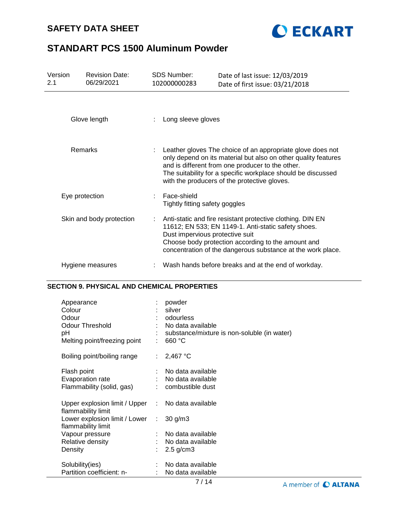# **SAFETY DATA SHEET**



# **STANDART PCS 1500 Aluminum Powder**

| Version<br>2.1 | <b>Revision Date:</b><br>06/29/2021                | <b>SDS Number:</b><br>102000000283                 | Date of last issue: 12/03/2019<br>Date of first issue: 03/21/2018                                                                                                                                                                                                                                |
|----------------|----------------------------------------------------|----------------------------------------------------|--------------------------------------------------------------------------------------------------------------------------------------------------------------------------------------------------------------------------------------------------------------------------------------------------|
|                | Glove length                                       | Long sleeve gloves                                 |                                                                                                                                                                                                                                                                                                  |
|                | Remarks                                            | ÷.                                                 | Leather gloves The choice of an appropriate glove does not<br>only depend on its material but also on other quality features<br>and is different from one producer to the other.<br>The suitability for a specific workplace should be discussed<br>with the producers of the protective gloves. |
|                | Eye protection                                     | Face-shield<br>÷<br>Tightly fitting safety goggles |                                                                                                                                                                                                                                                                                                  |
|                | Skin and body protection                           |                                                    | Anti-static and fire resistant protective clothing. DIN EN<br>11612; EN 533; EN 1149-1. Anti-static safety shoes.<br>Dust impervious protective suit<br>Choose body protection according to the amount and<br>concentration of the dangerous substance at the work place.                        |
|                | Hygiene measures                                   |                                                    | Wash hands before breaks and at the end of workday.                                                                                                                                                                                                                                              |
|                | <b>SECTION 9. PHYSICAL AND CHEMICAL PROPERTIES</b> |                                                    |                                                                                                                                                                                                                                                                                                  |

| Appearance<br>Colour<br>Odour<br><b>Odour Threshold</b><br>рH<br>Melting point/freezing point |    | powder<br>silver<br>odourless<br>No data available<br>substance/mixture is non-soluble (in water)<br>660 °C |
|-----------------------------------------------------------------------------------------------|----|-------------------------------------------------------------------------------------------------------------|
| Boiling point/boiling range                                                                   | ÷. | 2,467 °C                                                                                                    |
| Flash point<br>Evaporation rate<br>Flammability (solid, gas)                                  |    | : No data available<br>No data available<br>combustible dust                                                |
| Upper explosion limit / Upper : No data available<br>flammability limit                       |    |                                                                                                             |
| Lower explosion limit / Lower<br>flammability limit                                           | ÷. | $30$ g/m $3$                                                                                                |
| Vapour pressure                                                                               |    | : No data available                                                                                         |
| Relative density                                                                              |    | : No data available                                                                                         |
| Density                                                                                       |    | $2.5$ g/cm $3$                                                                                              |
| Solubility(ies)                                                                               |    | No data available                                                                                           |
| Partition coefficient: n-                                                                     |    | No data available                                                                                           |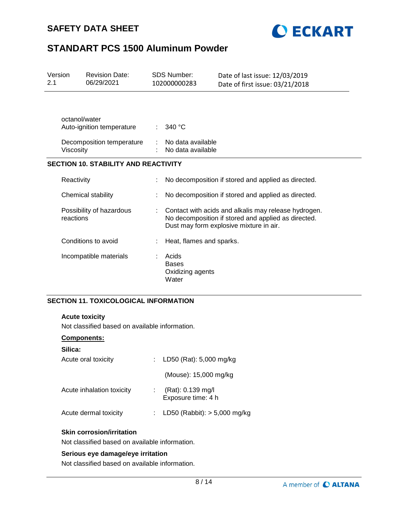



| Version<br>2.1 |                                       | <b>Revision Date:</b><br>06/29/2021         | <b>SDS Number:</b><br>102000000283                 | Date of last issue: 12/03/2019<br>Date of first issue: 03/21/2018                                                                                      |
|----------------|---------------------------------------|---------------------------------------------|----------------------------------------------------|--------------------------------------------------------------------------------------------------------------------------------------------------------|
|                | octanol/water                         | Auto-ignition temperature                   | 340 °C                                             |                                                                                                                                                        |
|                | Viscosity                             | Decomposition temperature                   | No data available<br>No data available             |                                                                                                                                                        |
|                |                                       | <b>SECTION 10. STABILITY AND REACTIVITY</b> |                                                    |                                                                                                                                                        |
|                | Reactivity                            |                                             |                                                    | No decomposition if stored and applied as directed.                                                                                                    |
|                | Chemical stability                    |                                             |                                                    | No decomposition if stored and applied as directed.                                                                                                    |
|                | Possibility of hazardous<br>reactions |                                             |                                                    | Contact with acids and alkalis may release hydrogen.<br>No decomposition if stored and applied as directed.<br>Dust may form explosive mixture in air. |
|                |                                       | Conditions to avoid                         | Heat, flames and sparks.                           |                                                                                                                                                        |
|                |                                       | Incompatible materials                      | Acids<br><b>Bases</b><br>Oxidizing agents<br>Water |                                                                                                                                                        |

# **SECTION 11. TOXICOLOGICAL INFORMATION**

#### **Acute toxicity**

Not classified based on available information.

### **Components:**

| Silica:                   |                                         |
|---------------------------|-----------------------------------------|
| Acute oral toxicity       | : LD50 (Rat): 5,000 mg/kg               |
|                           | (Mouse): 15,000 mg/kg                   |
| Acute inhalation toxicity | (Rat): 0.139 mg/l<br>Exposure time: 4 h |
| Acute dermal toxicity     | LD50 (Rabbit): $> 5,000$ mg/kg          |
|                           |                                         |

### **Skin corrosion/irritation**

Not classified based on available information.

#### **Serious eye damage/eye irritation**

Not classified based on available information.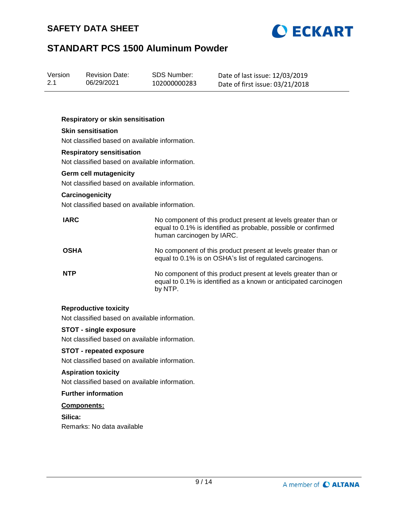



| Version | <b>Revision Date:</b> | SDS Number:  | Date of last issue: 12/03/2019  |
|---------|-----------------------|--------------|---------------------------------|
| 2.1     | 06/29/2021            | 102000000283 | Date of first issue: 03/21/2018 |

#### **Respiratory or skin sensitisation**

## **Skin sensitisation**

Not classified based on available information.

### **Respiratory sensitisation**

Not classified based on available information.

#### **Germ cell mutagenicity**

Not classified based on available information.

#### **Carcinogenicity**

Not classified based on available information.

| <b>IARC</b> | No component of this product present at levels greater than or<br>equal to 0.1% is identified as probable, possible or confirmed<br>human carcinogen by IARC. |
|-------------|---------------------------------------------------------------------------------------------------------------------------------------------------------------|
| <b>OSHA</b> | No component of this product present at levels greater than or<br>equal to 0.1% is on OSHA's list of regulated carcinogens.                                   |
| <b>NTP</b>  | No component of this product present at levels greater than or<br>equal to 0.1% is identified as a known or anticipated carcinogen<br>by NTP.                 |

#### **Reproductive toxicity**

Not classified based on available information.

## **STOT - single exposure**

Not classified based on available information.

#### **STOT - repeated exposure**

Not classified based on available information.

## **Aspiration toxicity**

Not classified based on available information.

### **Further information**

### **Components:**

**Silica:** Remarks: No data available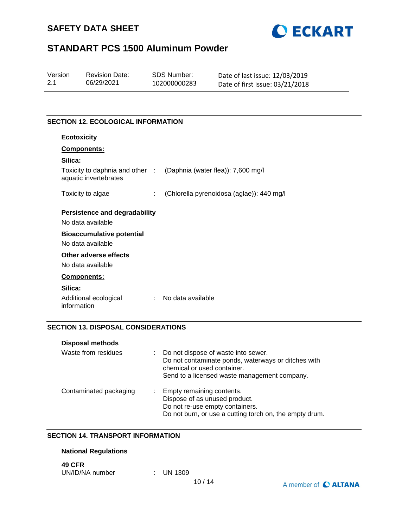



| Version | <b>Revision Date:</b> | SDS Number:  | Date of last issue: 12/03/2019  |
|---------|-----------------------|--------------|---------------------------------|
| 2.1     | 06/29/2021            | 102000000283 | Date of first issue: 03/21/2018 |

## **SECTION 12. ECOLOGICAL INFORMATION**

| <b>Ecotoxicity</b>                                       |                                           |
|----------------------------------------------------------|-------------------------------------------|
| Components:                                              |                                           |
| Silica:                                                  |                                           |
| Toxicity to daphnia and other :<br>aquatic invertebrates | (Daphnia (water flea)): 7,600 mg/l        |
| Toxicity to algae<br>÷.                                  | (Chlorella pyrenoidosa (aglae)): 440 mg/l |
| Persistence and degradability                            |                                           |
| No data available                                        |                                           |
| <b>Bioaccumulative potential</b>                         |                                           |
| No data available                                        |                                           |
| Other adverse effects                                    |                                           |
| No data available                                        |                                           |
| <b>Components:</b>                                       |                                           |
| Silica:                                                  |                                           |
| Additional ecological<br>÷<br>information                | No data available                         |

# **SECTION 13. DISPOSAL CONSIDERATIONS**

| <b>Disposal methods</b> |                                                                                                                                                                           |
|-------------------------|---------------------------------------------------------------------------------------------------------------------------------------------------------------------------|
| Waste from residues     | Do not dispose of waste into sewer.<br>Do not contaminate ponds, waterways or ditches with<br>chemical or used container.<br>Send to a licensed waste management company. |
| Contaminated packaging  | Empty remaining contents.<br>Dispose of as unused product.<br>Do not re-use empty containers.<br>Do not burn, or use a cutting torch on, the empty drum.                  |

#### **SECTION 14. TRANSPORT INFORMATION**

### **National Regulations**

**49 CFR**

UN/ID/NA number : UN 1309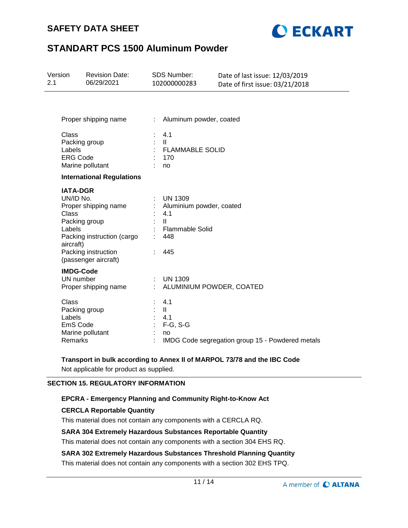# **SAFETY DATA SHEET**



# **STANDART PCS 1500 Aluminum Powder**

| Version<br>2.1 |                                                                               | <b>Revision Date:</b><br>06/29/2021                                                               |        | SDS Number:<br>102000000283                                                                               | Date of last issue: 12/03/2019<br>Date of first issue: 03/21/2018 |
|----------------|-------------------------------------------------------------------------------|---------------------------------------------------------------------------------------------------|--------|-----------------------------------------------------------------------------------------------------------|-------------------------------------------------------------------|
|                |                                                                               | Proper shipping name                                                                              | t.     | Aluminum powder, coated                                                                                   |                                                                   |
|                | Class<br>Packing group<br>Labels<br><b>ERG Code</b>                           | Marine pollutant                                                                                  |        | 4.1<br>$\mathbf{II}$<br><b>FLAMMABLE SOLID</b><br>170<br>no                                               |                                                                   |
|                |                                                                               | <b>International Regulations</b>                                                                  |        |                                                                                                           |                                                                   |
|                | <b>IATA-DGR</b><br>UN/ID No.<br>Class<br>Packing group<br>Labels<br>aircraft) | Proper shipping name<br>Packing instruction (cargo<br>Packing instruction<br>(passenger aircraft) |        | <b>UN 1309</b><br>Aluminium powder, coated<br>4.1<br>$\mathbf{H}$<br><b>Flammable Solid</b><br>448<br>445 |                                                                   |
|                | <b>IMDG-Code</b><br>UN number                                                 | Proper shipping name                                                                              | ÷.     | <b>UN 1309</b><br>ALUMINIUM POWDER, COATED                                                                |                                                                   |
|                | Class<br>Packing group<br>Labels<br>EmS Code<br>Remarks                       | Marine pollutant                                                                                  | ÷<br>÷ | 4.1<br>$\mathbf{II}$<br>4.1<br>$F-G$ , S-G<br>no                                                          | IMDG Code segregation group 15 - Powdered metals                  |

# **Transport in bulk according to Annex II of MARPOL 73/78 and the IBC Code**

Not applicable for product as supplied.

## **SECTION 15. REGULATORY INFORMATION**

### **EPCRA - Emergency Planning and Community Right-to-Know Act**

## **CERCLA Reportable Quantity**

This material does not contain any components with a CERCLA RQ.

### **SARA 304 Extremely Hazardous Substances Reportable Quantity**

This material does not contain any components with a section 304 EHS RQ.

## **SARA 302 Extremely Hazardous Substances Threshold Planning Quantity**

This material does not contain any components with a section 302 EHS TPQ.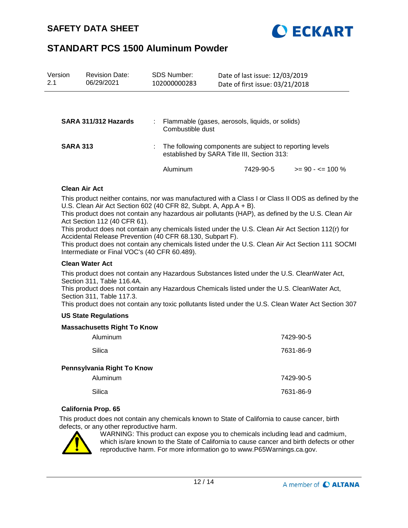

| Version<br>2.1  | <b>Revision Date:</b><br>06/29/2021 | SDS Number:<br>102000000283 | Date of last issue: 12/03/2019<br>Date of first issue: 03/21/2018                                       |                      |
|-----------------|-------------------------------------|-----------------------------|---------------------------------------------------------------------------------------------------------|----------------------|
|                 |                                     |                             |                                                                                                         |                      |
|                 | SARA 311/312 Hazards                | Combustible dust            | Flammable (gases, aerosols, liquids, or solids)                                                         |                      |
| <b>SARA 313</b> |                                     |                             | The following components are subject to reporting levels<br>established by SARA Title III, Section 313: |                      |
|                 |                                     | Aluminum                    | 7429-90-5                                                                                               | $>= 90 - 5 = 100 \%$ |

### **Clean Air Act**

This product neither contains, nor was manufactured with a Class I or Class II ODS as defined by the U.S. Clean Air Act Section 602 (40 CFR 82, Subpt. A, App.A + B).

This product does not contain any hazardous air pollutants (HAP), as defined by the U.S. Clean Air Act Section 112 (40 CFR 61).

This product does not contain any chemicals listed under the U.S. Clean Air Act Section 112(r) for Accidental Release Prevention (40 CFR 68.130, Subpart F).

This product does not contain any chemicals listed under the U.S. Clean Air Act Section 111 SOCMI Intermediate or Final VOC's (40 CFR 60.489).

### **Clean Water Act**

This product does not contain any Hazardous Substances listed under the U.S. CleanWater Act, Section 311, Table 116.4A.

This product does not contain any Hazardous Chemicals listed under the U.S. CleanWater Act, Section 311, Table 117.3.

This product does not contain any toxic pollutants listed under the U.S. Clean Water Act Section 307

### **US State Regulations**

#### **Massachusetts Right To Know**

| Aluminum                   | 7429-90-5 |
|----------------------------|-----------|
| Silica                     | 7631-86-9 |
| Pennsylvania Right To Know |           |
| Aluminum                   | 7429-90-5 |
| Silica                     | 7631-86-9 |

#### **California Prop. 65**

This product does not contain any chemicals known to State of California to cause cancer, birth defects, or any other reproductive harm.



WARNING: This product can expose you to chemicals including lead and cadmium, which is/are known to the State of California to cause cancer and birth defects or other reproductive harm. For more information go to www.P65Warnings.ca.gov.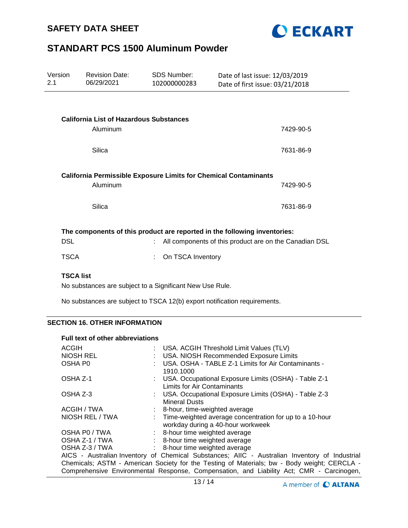



| Version<br>2.1                                                                                                                                                                                            | <b>Revision Date:</b><br>06/29/2021            | <b>SDS Number:</b><br>102000000283                                      | Date of last issue: 12/03/2019<br>Date of first issue: 03/21/2018 |           |  |
|-----------------------------------------------------------------------------------------------------------------------------------------------------------------------------------------------------------|------------------------------------------------|-------------------------------------------------------------------------|-------------------------------------------------------------------|-----------|--|
|                                                                                                                                                                                                           |                                                |                                                                         |                                                                   |           |  |
|                                                                                                                                                                                                           | <b>California List of Hazardous Substances</b> |                                                                         |                                                                   |           |  |
|                                                                                                                                                                                                           | Aluminum                                       |                                                                         |                                                                   | 7429-90-5 |  |
|                                                                                                                                                                                                           |                                                |                                                                         |                                                                   |           |  |
|                                                                                                                                                                                                           | Silica                                         |                                                                         |                                                                   | 7631-86-9 |  |
|                                                                                                                                                                                                           | Aluminum                                       | <b>California Permissible Exposure Limits for Chemical Contaminants</b> |                                                                   | 7429-90-5 |  |
|                                                                                                                                                                                                           | Silica                                         |                                                                         |                                                                   | 7631-86-9 |  |
| The components of this product are reported in the following inventories:<br><b>DSL</b><br>All components of this product are on the Canadian DSL<br><b>TSCA</b><br>On TSCA Inventory<br><b>TSCA list</b> |                                                |                                                                         |                                                                   |           |  |

No substances are subject to a Significant New Use Rule.

No substances are subject to TSCA 12(b) export notification requirements.

## **SECTION 16. OTHER INFORMATION**

#### **Full text of other abbreviations**

| <b>ACGIH</b>                                                                                  |  | : USA. ACGIH Threshold Limit Values (TLV)                                                      |  |  |  |
|-----------------------------------------------------------------------------------------------|--|------------------------------------------------------------------------------------------------|--|--|--|
| <b>NIOSH REL</b>                                                                              |  | : USA. NIOSH Recommended Exposure Limits                                                       |  |  |  |
| OSHA P <sub>0</sub>                                                                           |  | USA. OSHA - TABLE Z-1 Limits for Air Contaminants -<br>1910.1000                               |  |  |  |
| OSHA Z-1                                                                                      |  | : USA. Occupational Exposure Limits (OSHA) - Table Z-1<br>Limits for Air Contaminants          |  |  |  |
| OSHA Z-3                                                                                      |  | : USA. Occupational Exposure Limits (OSHA) - Table Z-3<br><b>Mineral Dusts</b>                 |  |  |  |
| ACGIH / TWA                                                                                   |  | : 8-hour, time-weighted average                                                                |  |  |  |
| NIOSH REL / TWA                                                                               |  | : Time-weighted average concentration for up to a 10-hour<br>workday during a 40-hour workweek |  |  |  |
| OSHA P0 / TWA                                                                                 |  | : 8-hour time weighted average                                                                 |  |  |  |
| OSHA Z-1 / TWA                                                                                |  | : 8-hour time weighted average                                                                 |  |  |  |
| OSHA Z-3 / TWA                                                                                |  | : 8-hour time weighted average                                                                 |  |  |  |
| AICS - Australian Inventory of Chemical Substances; AIIC - Australian Inventory of Industrial |  |                                                                                                |  |  |  |
| Chemicals; ASTM - American Society for the Testing of Materials; bw - Body weight; CERCLA -   |  |                                                                                                |  |  |  |
| Comprehensive Environmental Response, Compensation, and Liability Act; CMR - Carcinogen,      |  |                                                                                                |  |  |  |